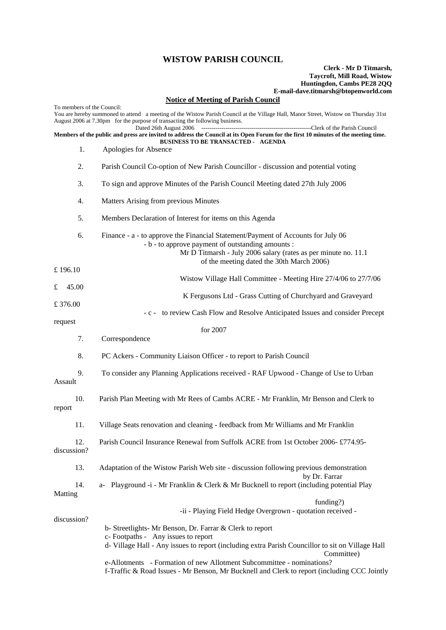## **WISTOW PARISH COUNCIL**

## **Clerk - Mr D Titmarsh, Taycroft, Mill Road, Wistow Huntingdon, Cambs PE28 2QQ E-mail-dave.titmarsh@btopenworld.com**

## **Notice of Meeting of Parish Council**

To members of the Council: You are hereby summoned to attend a meeting of the Wistow Parish Council at the Village Hall, Manor Street, Wistow on Thursday 31st August 2006 at 7.30pm for the purpose of transacting the following business. ----Clerk of the Parish Council **Members of the public and press are invited to address the Council at its Open Forum for the first 10 minutes of the meeting time. BUSINESS TO BE TRANSACTED - AGENDA**  1. Apologies for Absence 2. Parish Council Co-option of New Parish Councillor - discussion and potential voting 3. To sign and approve Minutes of the Parish Council Meeting dated 27th July 2006 4. Matters Arising from previous Minutes 5. Members Declaration of Interest for items on this Agenda 6. Finance - a - to approve the Financial Statement/Payment of Accounts for July 06 - b - to approve payment of outstanding amounts : Mr D Titmarsh - July 2006 salary (rates as per minute no. 11.1 of the meeting dated the 30th March 2006) £ 196.10 Wistow Village Hall Committee - Meeting Hire 27/4/06 to 27/7/06 £ 45.00 K Fergusons Ltd - Grass Cutting of Churchyard and Graveyard £ 376.00 - c - to review Cash Flow and Resolve Anticipated Issues and consider Precept request for 2007 7. Correspondence 8. PC Ackers - Community Liaison Officer - to report to Parish Council 9. To consider any Planning Applications received - RAF Upwood - Change of Use to Urban Assault 10. Parish Plan Meeting with Mr Rees of Cambs ACRE - Mr Franklin, Mr Benson and Clerk to report 11. Village Seats renovation and cleaning - feedback from Mr Williams and Mr Franklin 12. Parish Council Insurance Renewal from Suffolk ACRE from 1st October 2006- £774.95 discussion? 13. Adaptation of the Wistow Parish Web site - discussion following previous demonstration by Dr. Farrar 14. a- Playground -i - Mr Franklin & Clerk & Mr Bucknell to report (including potential Play Matting funding?) -ii - Playing Field Hedge Overgrown - quotation received discussion? b- Streetlights- Mr Benson, Dr. Farrar & Clerk to report c- Footpaths - Any issues to report d- Village Hall - Any issues to report (including extra Parish Councillor to sit on Village Hall Committee) e-Allotments - Formation of new Allotment Subcommittee - nominations? f-Traffic & Road Issues - Mr Benson, Mr Bucknell and Clerk to report (including CCC Jointly